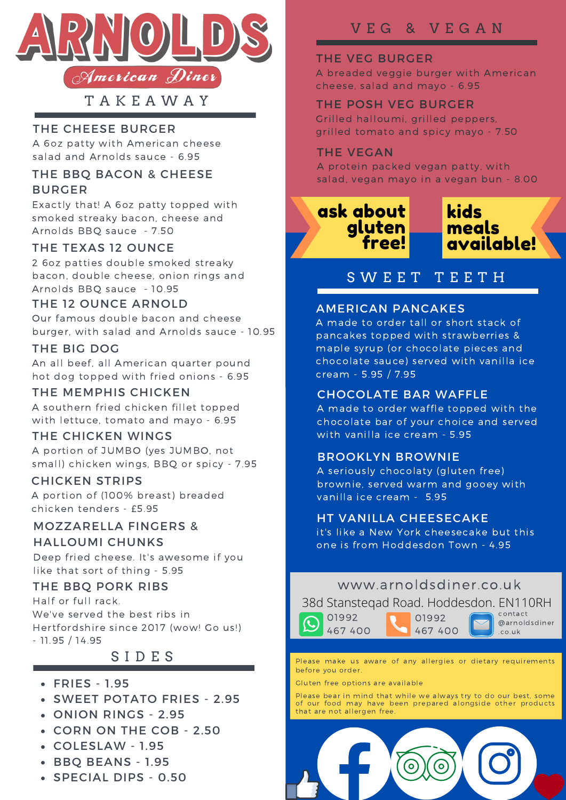

T A K E A W A Y

## THE CHEESE BURGER

A 6oz patty with American cheese salad and Arnolds sauce - 6.95

## THE BBQ BACON & CHEESE BURGER

Exactly that! A 6oz patty topped with smoked streaky bacon, cheese and Arnolds BBQ sauce - 7.50

## THE TEXAS 12 OUNCE

2 6oz patties double smoked streaky bacon, double cheese, onion rings and Arnolds BBQ sauce - 10.95

## THE 12 OUNCE ARNOLD

Our famous double bacon and cheese burger, with salad and Arnolds sauce - 10.95

## THE BIG DOG

An all beef, all American quarter pound hot dog topped with fried onions - 6.95

## THE MEMPHIS CHICKEN

A southern fried chicken fillet topped with lettuce, tomato and mayo - 6.95

## THE CHICKEN WINGS

A portion of JUMBO (yes JUMBO, not small) chicken wings, BBQ or spicy - 7.95

## CHICKEN STRIPS

A portion of (100% breast) breaded chicken tenders - £5.95

#### MOZZARELLA FINGERS & HALLOUMI CHUNKS

Deep fried cheese. It's awesome if you like that sort of thing - 5.95

## THE BBQ PORK RIBS

Half or full rack. We've served the best ribs in Hertfordshire since 2017 (wow! Go us!) - 11.95 / 14.95

# S I D E S

## FRIES - 1.95

- SWEET POTATO FRIES 2.95
- ONION RINGS 2.95
- CORN ON THE COB 2.50
- COLESLAW 1.95
- BBQ BEANS 1.95
- SPECIAL DIPS 0.50

# V E G & V E G A N

## THE VEG BURGER

A breaded veggie burger with American cheese, salad and mayo - 6.95

### THE POSH VEG BURGER

Grilled halloumi, grilled peppers, grilled tomato and spicy mayo - 7.50

#### THE VEGAN

A protein packed vegan patty, with salad, vegan mayo in a vegan bun - 8.00

ask about gluten free!



# S W E E T T E E T H

## AMERICAN PANCAKES

A made to order tall or short stack of pancakes topped with strawberries & maple syrup (or chocolate pieces and chocolate sauce) served with vanilla ice cream - 5.95 / 7.95

## CHOCOLATE BAR WAFFLE

A made to order waffle topped with the chocolate bar of your choice and served with vanilla ice cream - 5.95

## BROOKLYN BROWNIE

A seriously chocolaty (gluten free) brownie, served warm and gooey with vanilla ice cream - 5.95

## HT VANILLA CHEESECAKE

it's like a New York cheesecake but this one is from Hoddesdon Town - 4.95

## www.arnoldsdiner.co.uk

38d Stansteqad Road. Hoddesdon. EN110RH



contact @arnoldsdiner .co.uk

Please make us aware of any allergies or dietary requirements be fore you order.

Gluten free options are available

01992 467 400

Please bear in mind that while we always try to do our best, some of our food may have been prepared alongside other products that are not allergen free.